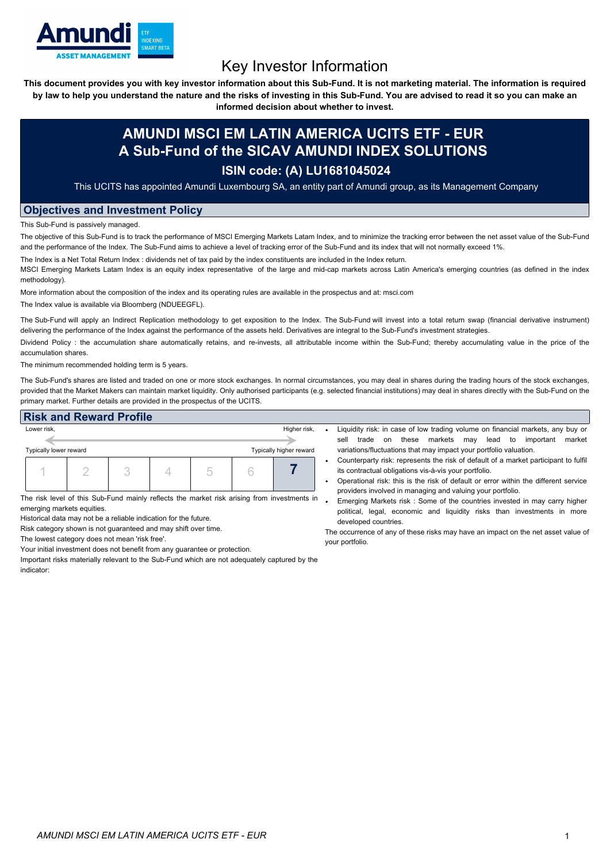

# Key Investor Information

This document provides you with key investor information about this Sub-Fund. It is not marketing material. The information is required by law to help you understand the nature and the risks of investing in this Sub-Fund. You are advised to read it so you can make an

**informed decision about whether to invest.**

## **AMUNDI MSCI EM LATIN AMERICA UCITS ETF - EUR A Sub-Fund of the SICAV AMUNDI INDEX SOLUTIONS**

## **ISIN code: (A) LU1681045024**

This UCITS has appointed Amundi Luxembourg SA, an entity part of Amundi group, as its Management Company

#### **Objectives and Investment Policy**

This Sub-Fund is passively managed.

The objective of this Sub-Fund is to track the performance of MSCI Emerging Markets Latam Index, and to minimize the tracking error between the net asset value of the Sub-Fund and the performance of the Index. The Sub-Fund aims to achieve a level of tracking error of the Sub-Fund and its index that will not normally exceed 1%.

The Index is a Net Total Return Index : dividends net of tax paid by the index constituents are included in the Index return.

MSCI Emerging Markets Latam Index is an equity index representative of the large and mid-cap markets across Latin America's emerging countries (as defined in the index methodology).

More information about the composition of the index and its operating rules are available in the prospectus and at: msci.com

The Index value is available via Bloomberg (NDUEEGFL).

The Sub-Fund will apply an Indirect Replication methodology to get exposition to the Index. The Sub-Fund will invest into a total return swap (financial derivative instrument) delivering the performance of the Index against the performance of the assets held. Derivatives are integral to the Sub-Fund's investment strategies.

Dividend Policy : the accumulation share automatically retains, and re-invests, all attributable income within the Sub-Fund; thereby accumulating value in the price of the accumulation shares.

The minimum recommended holding term is 5 years.

The Sub-Fund's shares are listed and traded on one or more stock exchanges. In normal circumstances, you may deal in shares during the trading hours of the stock exchanges, provided that the Market Makers can maintain market liquidity. Only authorised participants (e.g. selected financial institutions) may deal in shares directly with the Sub-Fund on the primary market. Further details are provided in the prospectus of the UCITS.

### **Risk and Reward Profile**

| Lower risk,                                       |  |  | Higher risk, |  |  |  |
|---------------------------------------------------|--|--|--------------|--|--|--|
|                                                   |  |  |              |  |  |  |
| Typically lower reward<br>Typically higher reward |  |  |              |  |  |  |
|                                                   |  |  |              |  |  |  |

The risk level of this Sub-Fund mainly reflects the market risk arising from investments in emerging markets equities.

Historical data may not be a reliable indication for the future.

Risk category shown is not guaranteed and may shift over time.

The lowest category does not mean 'risk free'.

Your initial investment does not benefit from any guarantee or protection.

Important risks materially relevant to the Sub-Fund which are not adequately captured by the indicator:

- Liquidity risk: in case of low trading volume on financial markets, any buy or sell trade on these markets may lead to important market variations/fluctuations that may impact your portfolio valuation.
- Counterparty risk: represents the risk of default of a market participant to fulfil its contractual obligations vis-à-vis your portfolio.
- Operational risk: this is the risk of default or error within the different service providers involved in managing and valuing your portfolio.
- Emerging Markets risk : Some of the countries invested in may carry higher political, legal, economic and liquidity risks than investments in more developed countries.

The occurrence of any of these risks may have an impact on the net asset value of your portfolio.